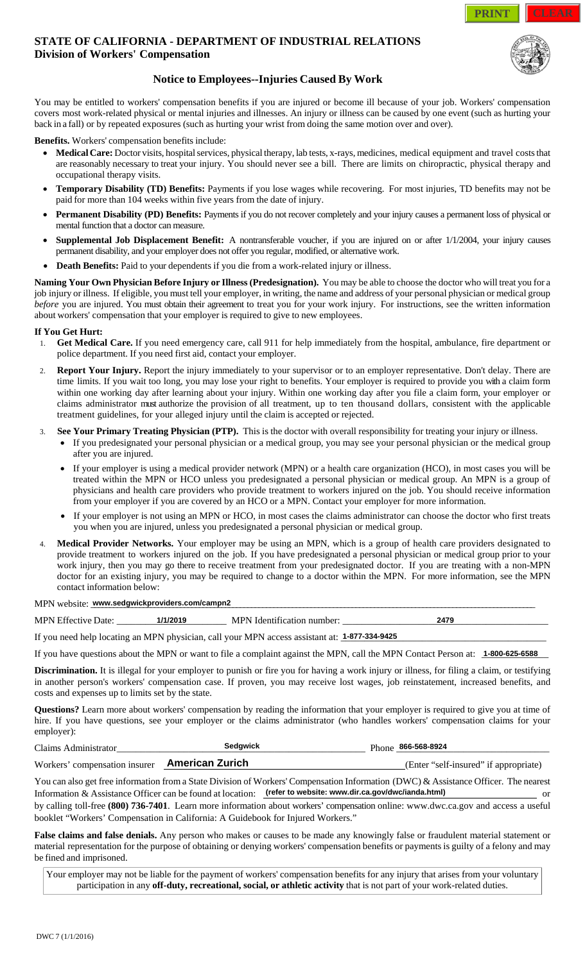### **STATE OF CALIFORNIA - DEPARTMENT OF INDUSTRIAL RELATIONS Division of Workers' Compensation**



## **Notice to Employees--Injuries Caused By Work**

You may be entitled to workers' compensation benefits if you are injured or become ill because of your job. Workers' compensation covers most work-related physical or mental injuries and illnesses. An injury or illness can be caused by one event (such as hurting your back in a fall) or by repeated exposures (such as hurting your wrist from doing the same motion over and over).

**Benefits.** Workers' compensation benefits include:

- **Medical Care:** Doctor visits, hospital services, physical therapy, lab tests, x-rays, medicines, medical equipment and travel costs that are reasonably necessary to treat your injury. You should never see a bill. There are limits on chiropractic, physical therapy and occupational therapy visits.
- **Temporary Disability (TD) Benefits:** Payments if you lose wages while recovering. For most injuries, TD benefits may not be paid for more than 104 weeks within five years from the date of injury.
- **Permanent Disability (PD) Benefits:** Payments if you do not recover completely and your injury causes a permanent loss of physical or mental function that a doctor can measure.
- **Supplemental Job Displacement Benefit:** A nontransferable voucher, if you are injured on or after 1/1/2004, your injury causes permanent disability, and your employer does not offer you regular, modified, or alternative work.
- **Death Benefits:** Paid to your dependents if you die from a work-related injury or illness.

**Naming Your Own Physician Before Injury or Illness (Predesignation).** You may be able to choose the doctor who will treat you for a job injury or illness. If eligible, you must tell your employer, in writing, the name and address of your personal physician or medical group *before* you are injured. You must obtain their agreement to treat you for your work injury. For instructions, see the written information about workers' compensation that your employer is required to give to new employees.

#### **If You Get Hurt:**

- 1. **Get Medical Care.** If you need emergency care, call 911 for help immediately from the hospital, ambulance, fire department or police department. If you need first aid, contact your employer.
- Report Your Injury. Report the injury immediately to your supervisor or to an employer representative. Don't delay. There are time limits. If you wait too long, you may lose your right to benefits. Your employer is required to provide you with a claim form within one working day after learning about your injury. Within one working day after you file a claim form, your employer or claims administrator must authorize the provision of all treatment, up to ten thousand dollars, consistent with the applicable treatment guidelines, for your alleged injury until the claim is accepted or rejected. **1/2011 A. DEPARTMENT OF INDUSTRIAL RELATIONS<br>
<b>EPENT INTERVITY OF INDUSTRIAL RELATIONS**<br> **EPENT INTERVITY OF INDUSTRIAL RELATIONS**<br> **CONDENDENT CONDENDERT CONDENDERT CONDENDERT CONDENDERT CONDENDERT CONDENDERT CONDENDERT**
- 3. **See Your Primary Treating Physician (PTP).** This is the doctor with overall responsibility for treating your injury or illness.
	- If you predesignated your personal physician or a medical group, you may see your personal physician or the medical group after you are injured.
	- If your employer is using a medical provider network (MPN) or a health care organization (HCO), in most cases you will be treated within the MPN or HCO unless you predesignated a personal physician or medical group. An MPN is a group of physicians and health care providers who provide treatment to workers injured on the job. You should receive information from your employer if you are covered by an HCO or a MPN. Contact your employer for more information.
	- If your employer is not using an MPN or HCO, in most cases the claims administrator can choose the doctor who first treats you when you are injured, unless you predesignated a personal physician or medical group.
- 4. **Medical Provider Networks.** Your employer may be using an MPN, which is a group of health care providers designated to provide treatment to workers injured on the job. If you have predesignated a personal physician or medical group prior to your work injury, then you may go there to receive treatment from your predesignated doctor. If you are treating with a non-MPN doctor for an existing injury, you may be required to change to a doctor within the MPN. For more information, see the MPN contact information below:

 $\emph{MPN website: }$  www.sedgwickproviders.com/campn2

|  | <b>MPN Ef</b><br>Date<br>$\mathbf{U}$<br>11 F |  | <b>MPN</b><br>-Ident<br>чеаноп<br>- 1111.<br>ாமட | 247c<br>. . |
|--|-----------------------------------------------|--|--------------------------------------------------|-------------|
|--|-----------------------------------------------|--|--------------------------------------------------|-------------|

If you need help locating an MPN physician, call your MPN access assistant at:  $1-877-334-9425$ 

If you have questions about the MPN or want to file a complaint against the MPN, call the MPN Contact Person at:  $1-800-625-6588$ 

**Discrimination.** It is illegal for your employer to punish or fire you for having a work injury or illness, for filing a claim, or testifying in another person's workers' compensation case. If proven, you may receive lost wages, job reinstatement, increased benefits, and costs and expenses up to limits set by the state.

**Questions?** Learn more about workers' compensation by reading the information that your employer is required to give you at time of hire. If you have questions, see your employer or the claims administrator (who handles workers' compensation claims for your employer):

| $\gamma$ laims                         | dawick             | 866-568-8924<br>Phone                        |
|----------------------------------------|--------------------|----------------------------------------------|
| <b>Workers</b><br>compensation insurer | .urich<br>American | °≏lt<br>r Enfer<br>.f-insured<br>appropriate |

You can also get free information from a State Division of Workers' Compensation Information (DWC) & Assistance Officer. The nearest Information & Assistance Officer can be found at location: **(refer to website: www.dir.ca.gov/dwc/ianda.html)** or by calling toll-free **(800) 736-7401**. Learn more information about workers' compensation online: www.dwc.ca.gov and access a useful

booklet "Workers' Compensation in California: A Guidebook for Injured Workers." **False claims and false denials.** Any person who makes or causes to be made any knowingly false or fraudulent material statement or

material representation for the purpose of obtaining or denying workers' compensation benefits or payments is guilty of a felony and may be fined and imprisoned.

Your employer may not be liable for the payment of workers' compensation benefits for any injury that arises from your voluntary participation in any **off-duty, recreational, social, or athletic activity** that is not part of your work-related duties.